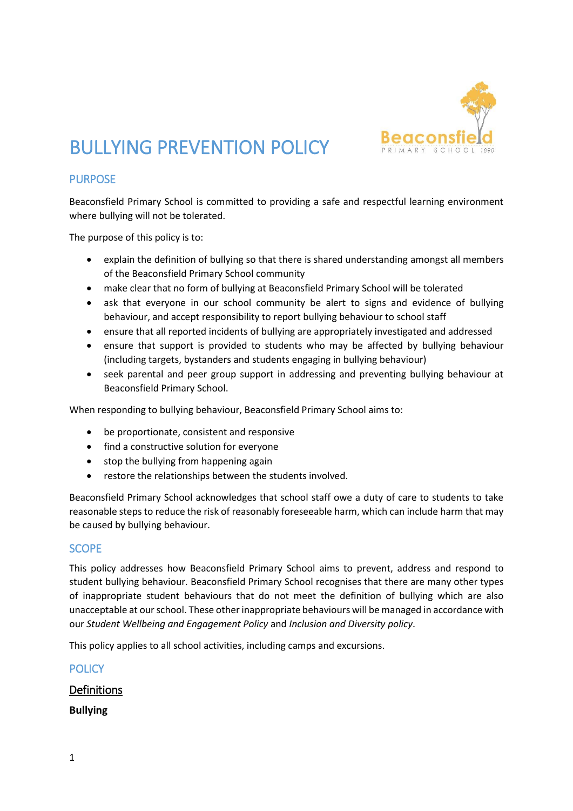

# BULLYING PREVENTION POLICY

## PURPOSE

Beaconsfield Primary School is committed to providing a safe and respectful learning environment where bullying will not be tolerated.

The purpose of this policy is to:

- explain the definition of bullying so that there is shared understanding amongst all members of the Beaconsfield Primary School community
- make clear that no form of bullying at Beaconsfield Primary School will be tolerated
- ask that everyone in our school community be alert to signs and evidence of bullying behaviour, and accept responsibility to report bullying behaviour to school staff
- ensure that all reported incidents of bullying are appropriately investigated and addressed
- ensure that support is provided to students who may be affected by bullying behaviour (including targets, bystanders and students engaging in bullying behaviour)
- seek parental and peer group support in addressing and preventing bullying behaviour at Beaconsfield Primary School.

When responding to bullying behaviour, Beaconsfield Primary School aims to:

- be proportionate, consistent and responsive
- find a constructive solution for everyone
- stop the bullying from happening again
- restore the relationships between the students involved.

Beaconsfield Primary School acknowledges that school staff owe a duty of care to students to take reasonable steps to reduce the risk of reasonably foreseeable harm, which can include harm that may be caused by bullying behaviour.

### SCOPE

This policy addresses how Beaconsfield Primary School aims to prevent, address and respond to student bullying behaviour. Beaconsfield Primary School recognises that there are many other types of inappropriate student behaviours that do not meet the definition of bullying which are also unacceptable at our school. These other inappropriate behaviours will be managed in accordance with our *Student Wellbeing and Engagement Policy* and *Inclusion and Diversity policy*.

This policy applies to all school activities, including camps and excursions.

## **POLICY**

## Definitions

**Bullying**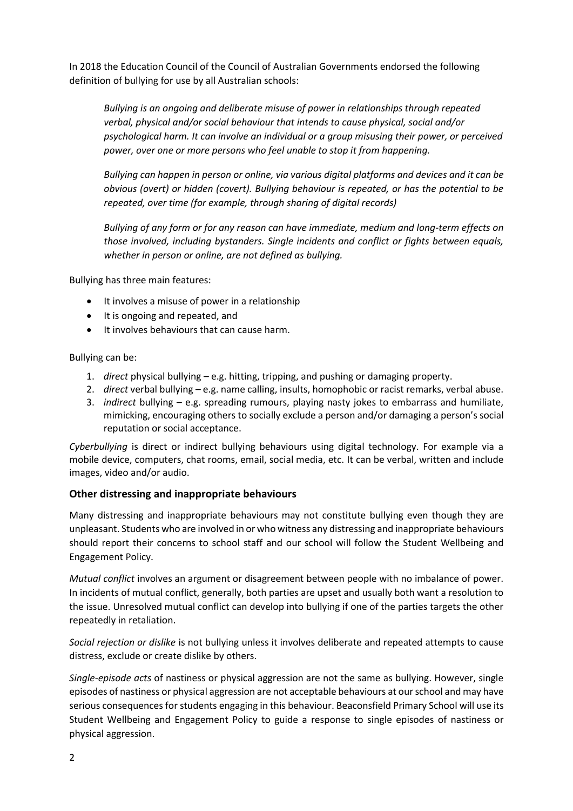In 2018 the Education Council of the Council of Australian Governments endorsed the following definition of bullying for use by all Australian schools:

*Bullying is an ongoing and deliberate misuse of power in relationships through repeated verbal, physical and/or social behaviour that intends to cause physical, social and/or psychological harm. It can involve an individual or a group misusing their power, or perceived power, over one or more persons who feel unable to stop it from happening.*

*Bullying can happen in person or online, via various digital platforms and devices and it can be obvious (overt) or hidden (covert). Bullying behaviour is repeated, or has the potential to be repeated, over time (for example, through sharing of digital records)*

*Bullying of any form or for any reason can have immediate, medium and long-term effects on those involved, including bystanders. Single incidents and conflict or fights between equals, whether in person or online, are not defined as bullying.*

Bullying has three main features:

- It involves a misuse of power in a relationship
- It is ongoing and repeated, and
- It involves behaviours that can cause harm.

#### Bullying can be:

- 1. *direct* physical bullying e.g. hitting, tripping, and pushing or damaging property.
- 2. *direct* verbal bullying e.g. name calling, insults, homophobic or racist remarks, verbal abuse.
- 3. *indirect* bullying e.g. spreading rumours, playing nasty jokes to embarrass and humiliate, mimicking, encouraging others to socially exclude a person and/or damaging a person's social reputation or social acceptance.

*Cyberbullying* is direct or indirect bullying behaviours using digital technology. For example via a mobile device, computers, chat rooms, email, social media, etc. It can be verbal, written and include images, video and/or audio.

#### **Other distressing and inappropriate behaviours**

Many distressing and inappropriate behaviours may not constitute bullying even though they are unpleasant. Students who are involved in or who witness any distressing and inappropriate behaviours should report their concerns to school staff and our school will follow the Student Wellbeing and Engagement Policy.

*Mutual conflict* involves an argument or disagreement between people with no imbalance of power. In incidents of mutual conflict, generally, both parties are upset and usually both want a resolution to the issue. Unresolved mutual conflict can develop into bullying if one of the parties targets the other repeatedly in retaliation.

*Social rejection or dislike* is not bullying unless it involves deliberate and repeated attempts to cause distress, exclude or create dislike by others.

*Single-episode acts* of nastiness or physical aggression are not the same as bullying. However, single episodes of nastiness or physical aggression are not acceptable behaviours at our school and may have serious consequences for students engaging in this behaviour. Beaconsfield Primary School will use its Student Wellbeing and Engagement Policy to guide a response to single episodes of nastiness or physical aggression.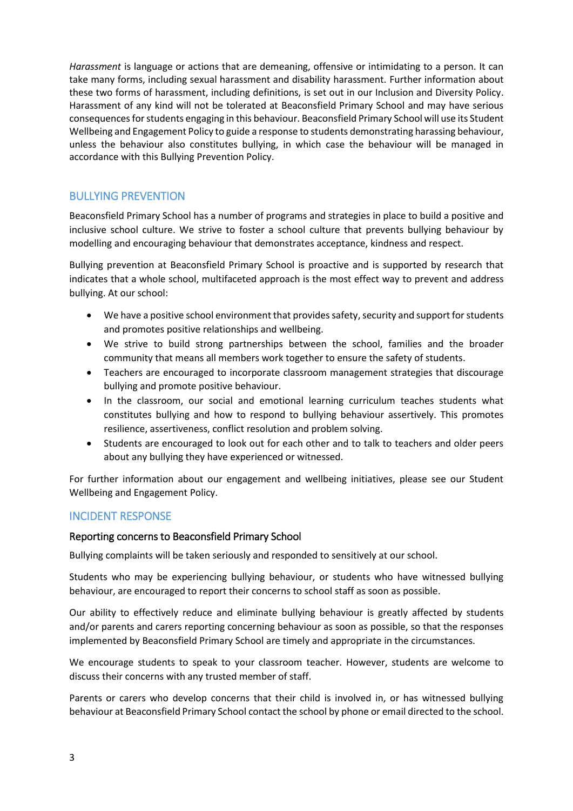*Harassment* is language or actions that are demeaning, offensive or intimidating to a person. It can take many forms, including sexual harassment and disability harassment. Further information about these two forms of harassment, including definitions, is set out in our Inclusion and Diversity Policy. Harassment of any kind will not be tolerated at Beaconsfield Primary School and may have serious consequences for students engaging in this behaviour. Beaconsfield Primary School will use its Student Wellbeing and Engagement Policy to guide a response to students demonstrating harassing behaviour, unless the behaviour also constitutes bullying, in which case the behaviour will be managed in accordance with this Bullying Prevention Policy.

# BULLYING PREVENTION

Beaconsfield Primary School has a number of programs and strategies in place to build a positive and inclusive school culture. We strive to foster a school culture that prevents bullying behaviour by modelling and encouraging behaviour that demonstrates acceptance, kindness and respect.

Bullying prevention at Beaconsfield Primary School is proactive and is supported by research that indicates that a whole school, multifaceted approach is the most effect way to prevent and address bullying. At our school:

- We have a positive school environment that provides safety, security and support for students and promotes positive relationships and wellbeing.
- We strive to build strong partnerships between the school, families and the broader community that means all members work together to ensure the safety of students.
- Teachers are encouraged to incorporate classroom management strategies that discourage bullying and promote positive behaviour.
- In the classroom, our social and emotional learning curriculum teaches students what constitutes bullying and how to respond to bullying behaviour assertively. This promotes resilience, assertiveness, conflict resolution and problem solving.
- Students are encouraged to look out for each other and to talk to teachers and older peers about any bullying they have experienced or witnessed.

For further information about our engagement and wellbeing initiatives, please see our Student Wellbeing and Engagement Policy.

# INCIDENT RESPONSE

### Reporting concerns to Beaconsfield Primary School

Bullying complaints will be taken seriously and responded to sensitively at our school.

Students who may be experiencing bullying behaviour, or students who have witnessed bullying behaviour, are encouraged to report their concerns to school staff as soon as possible.

Our ability to effectively reduce and eliminate bullying behaviour is greatly affected by students and/or parents and carers reporting concerning behaviour as soon as possible, so that the responses implemented by Beaconsfield Primary School are timely and appropriate in the circumstances.

We encourage students to speak to your classroom teacher. However, students are welcome to discuss their concerns with any trusted member of staff.

Parents or carers who develop concerns that their child is involved in, or has witnessed bullying behaviour at Beaconsfield Primary School contact the school by phone or email directed to the school.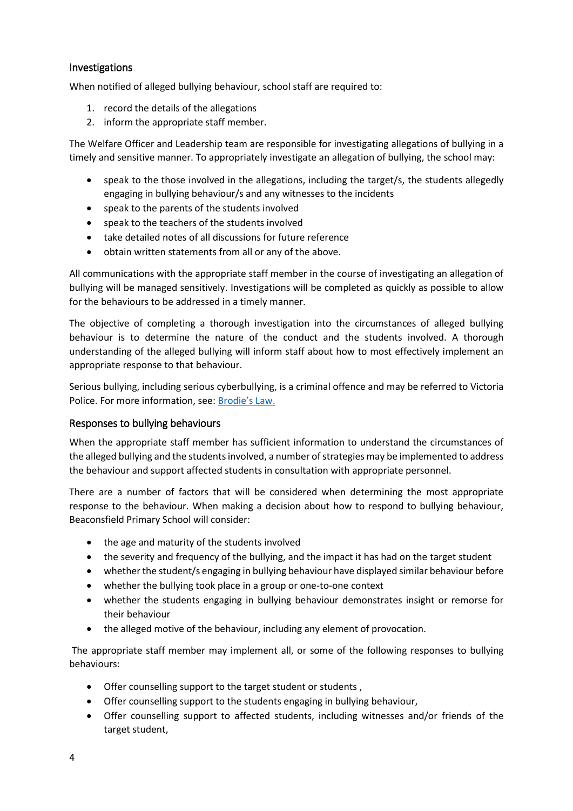## Investigations

When notified of alleged bullying behaviour, school staff are required to:

- 1. record the details of the allegations
- 2. inform the appropriate staff member.

The Welfare Officer and Leadership team are responsible for investigating allegations of bullying in a timely and sensitive manner. To appropriately investigate an allegation of bullying, the school may:

- speak to the those involved in the allegations, including the target/s, the students allegedly engaging in bullying behaviour/s and any witnesses to the incidents
- speak to the parents of the students involved
- speak to the teachers of the students involved
- take detailed notes of all discussions for future reference
- obtain written statements from all or any of the above.

All communications with the appropriate staff member in the course of investigating an allegation of bullying will be managed sensitively. Investigations will be completed as quickly as possible to allow for the behaviours to be addressed in a timely manner.

The objective of completing a thorough investigation into the circumstances of alleged bullying behaviour is to determine the nature of the conduct and the students involved. A thorough understanding of the alleged bullying will inform staff about how to most effectively implement an appropriate response to that behaviour.

Serious bullying, including serious cyberbullying, is a criminal offence and may be referred to Victoria Police. For more information, see: [Brodie's Law.](http://www.education.vic.gov.au/about/programs/bullystoppers/Pages/advicesheetbrodieslaw.aspx)

### Responses to bullying behaviours

When the appropriate staff member has sufficient information to understand the circumstances of the alleged bullying and the students involved, a number of strategies may be implemented to address the behaviour and support affected students in consultation with appropriate personnel.

There are a number of factors that will be considered when determining the most appropriate response to the behaviour. When making a decision about how to respond to bullying behaviour, Beaconsfield Primary School will consider:

- the age and maturity of the students involved
- the severity and frequency of the bullying, and the impact it has had on the target student
- whether the student/s engaging in bullying behaviour have displayed similar behaviour before
- whether the bullying took place in a group or one-to-one context
- whether the students engaging in bullying behaviour demonstrates insight or remorse for their behaviour
- the alleged motive of the behaviour, including any element of provocation.

The appropriate staff member may implement all, or some of the following responses to bullying behaviours:

- Offer counselling support to the target student or students ,
- Offer counselling support to the students engaging in bullying behaviour,
- Offer counselling support to affected students, including witnesses and/or friends of the target student,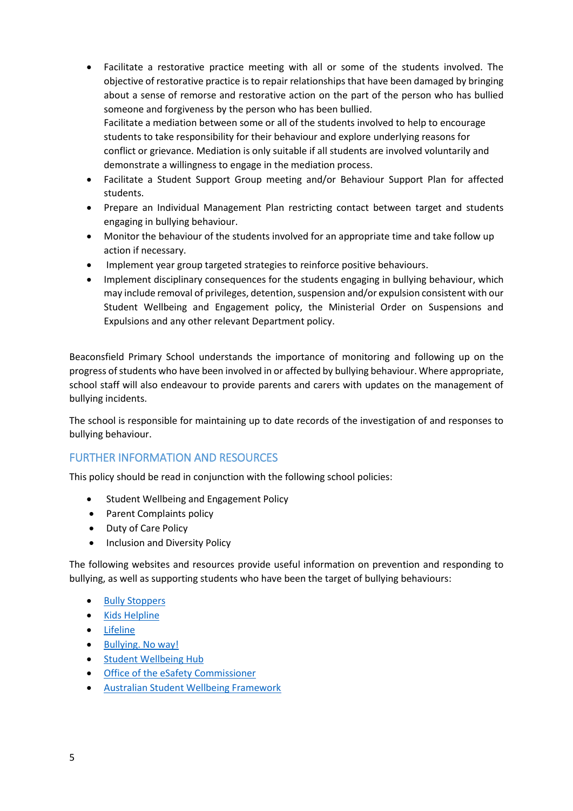- Facilitate a restorative practice meeting with all or some of the students involved. The objective of restorative practice is to repair relationships that have been damaged by bringing about a sense of remorse and restorative action on the part of the person who has bullied someone and forgiveness by the person who has been bullied. Facilitate a mediation between some or all of the students involved to help to encourage students to take responsibility for their behaviour and explore underlying reasons for conflict or grievance. Mediation is only suitable if all students are involved voluntarily and demonstrate a willingness to engage in the mediation process.
- Facilitate a Student Support Group meeting and/or Behaviour Support Plan for affected students.
- Prepare an Individual Management Plan restricting contact between target and students engaging in bullying behaviour.
- Monitor the behaviour of the students involved for an appropriate time and take follow up action if necessary.
- Implement year group targeted strategies to reinforce positive behaviours.
- Implement disciplinary consequences for the students engaging in bullying behaviour, which may include removal of privileges, detention, suspension and/or expulsion consistent with our Student Wellbeing and Engagement policy, the Ministerial Order on Suspensions and Expulsions and any other relevant Department policy.

Beaconsfield Primary School understands the importance of monitoring and following up on the progress of students who have been involved in or affected by bullying behaviour. Where appropriate, school staff will also endeavour to provide parents and carers with updates on the management of bullying incidents.

The school is responsible for maintaining up to date records of the investigation of and responses to bullying behaviour.

## FURTHER INFORMATION AND RESOURCES

This policy should be read in conjunction with the following school policies:

- **•** Student Wellbeing and Engagement Policy
- Parent Complaints policy
- Duty of Care Policy
- Inclusion and Diversity Policy

The following websites and resources provide useful information on prevention and responding to bullying, as well as supporting students who have been the target of bullying behaviours:

- [Bully Stoppers](https://bullyingnoway.gov.au/PreventingBullying/Planning/Pages/School-policy.aspx)
- Kids [Helpline](https://kidshelpline.com.au/)
- [Lifeline](https://www.lifeline.org.au/)
- [Bullying. No way!](https://bullyingnoway.gov.au/PreventingBullying/Planning/Pages/School-policy.aspx)
- [Student Wellbeing Hub](https://www.studentwellbeinghub.edu.au/)
- **•** Office of the eSafety Commissioner
- [Australian Student Wellbeing Framework](https://www.studentwellbeinghub.edu.au/resources/detail?id=dd6b5222-d5c5-6d32-997d-ff0000a69c30#/)